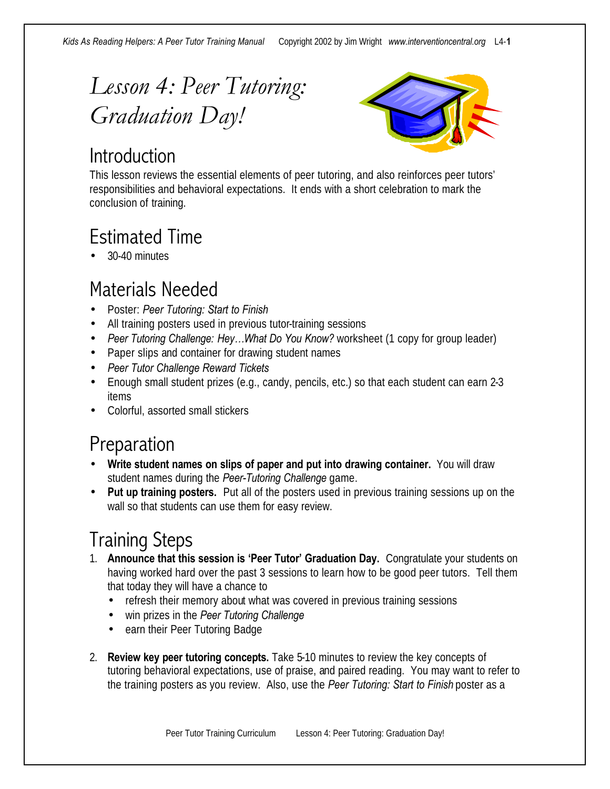# *Lesson 4: Peer Tutoring: Graduation Day!*

#### **Introduction**



This lesson reviews the essential elements of peer tutoring, and also reinforces peer tutors' responsibilities and behavioral expectations. It ends with a short celebration to mark the conclusion of training.

## Estimated Time

• 30-40 minutes

#### Materials Needed

- Poster: *Peer Tutoring: Start to Finish*
- All training posters used in previous tutor-training sessions
- *Peer Tutoring Challenge: Hey…What Do You Know?* worksheet (1 copy for group leader)
- Paper slips and container for drawing student names
- *Peer Tutor Challenge Reward Tickets*
- Enough small student prizes (e.g., candy, pencils, etc.) so that each student can earn 2-3 items
- Colorful, assorted small stickers

#### Preparation

- **Write student names on slips of paper and put into drawing container.** You will draw student names during the *Peer-Tutoring Challenge* game.
- **Put up training posters.** Put all of the posters used in previous training sessions up on the wall so that students can use them for easy review.

#### Training Steps

- 1. **Announce that this session is 'Peer Tutor' Graduation Day.** Congratulate your students on having worked hard over the past 3 sessions to learn how to be good peer tutors. Tell them that today they will have a chance to
	- refresh their memory about what was covered in previous training sessions
	- win prizes in the *Peer Tutoring Challenge*
	- earn their Peer Tutoring Badge
- 2. **Review key peer tutoring concepts.** Take 5-10 minutes to review the key concepts of tutoring behavioral expectations, use of praise, and paired reading. You may want to refer to the training posters as you review. Also, use the *Peer Tutoring: Start to Finish* poster as a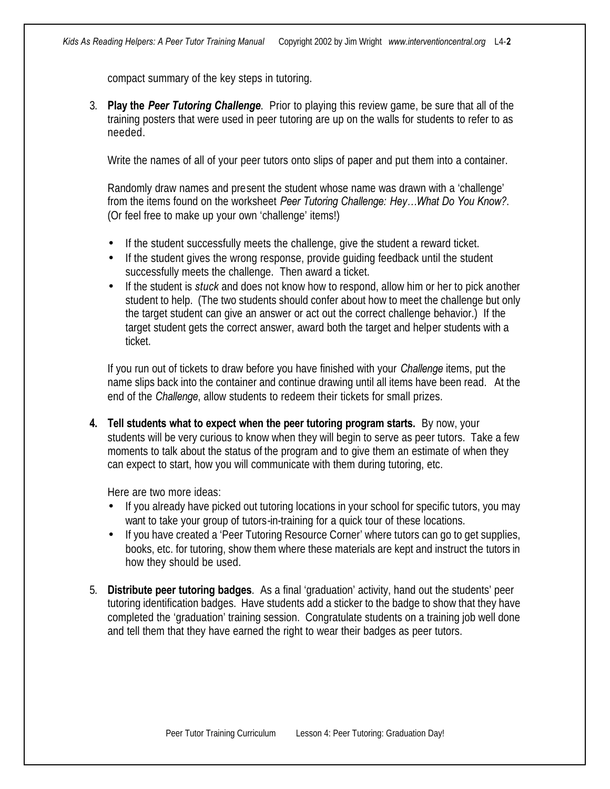compact summary of the key steps in tutoring.

3. **Play the** *Peer Tutoring Challenge*. Prior to playing this review game, be sure that all of the training posters that were used in peer tutoring are up on the walls for students to refer to as needed.

Write the names of all of your peer tutors onto slips of paper and put them into a container.

Randomly draw names and present the student whose name was drawn with a 'challenge' from the items found on the worksheet *Peer Tutoring Challenge: Hey…What Do You Know?*. (Or feel free to make up your own 'challenge' items!)

- If the student successfully meets the challenge, give the student a reward ticket.
- If the student gives the wrong response, provide quiding feedback until the student successfully meets the challenge. Then award a ticket.
- If the student is *stuck* and does not know how to respond, allow him or her to pick another student to help. (The two students should confer about how to meet the challenge but only the target student can give an answer or act out the correct challenge behavior.) If the target student gets the correct answer, award both the target and helper students with a ticket.

If you run out of tickets to draw before you have finished with your *Challenge* items, put the name slips back into the container and continue drawing until all items have been read. At the end of the *Challenge*, allow students to redeem their tickets for small prizes.

**4. Tell students what to expect when the peer tutoring program starts.** By now, your students will be very curious to know when they will begin to serve as peer tutors. Take a few moments to talk about the status of the program and to give them an estimate of when they can expect to start, how you will communicate with them during tutoring, etc.

Here are two more ideas:

- If you already have picked out tutoring locations in your school for specific tutors, you may want to take your group of tutors-in-training for a quick tour of these locations.
- If you have created a 'Peer Tutoring Resource Corner' where tutors can go to get supplies, books, etc. for tutoring, show them where these materials are kept and instruct the tutors in how they should be used.
- 5. **Distribute peer tutoring badges**. As a final 'graduation' activity, hand out the students' peer tutoring identification badges. Have students add a sticker to the badge to show that they have completed the 'graduation' training session. Congratulate students on a training job well done and tell them that they have earned the right to wear their badges as peer tutors.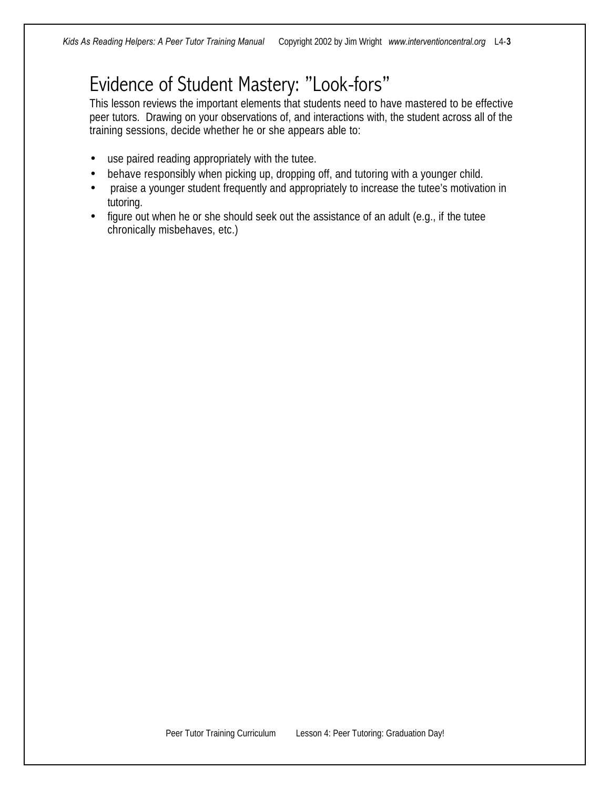#### Evidence of Student Mastery: "Look-fors"

This lesson reviews the important elements that students need to have mastered to be effective peer tutors. Drawing on your observations of, and interactions with, the student across all of the training sessions, decide whether he or she appears able to:

- use paired reading appropriately with the tutee.
- behave responsibly when picking up, dropping off, and tutoring with a younger child.
- praise a younger student frequently and appropriately to increase the tutee's motivation in tutoring.
- figure out when he or she should seek out the assistance of an adult (e.g., if the tutee chronically misbehaves, etc.)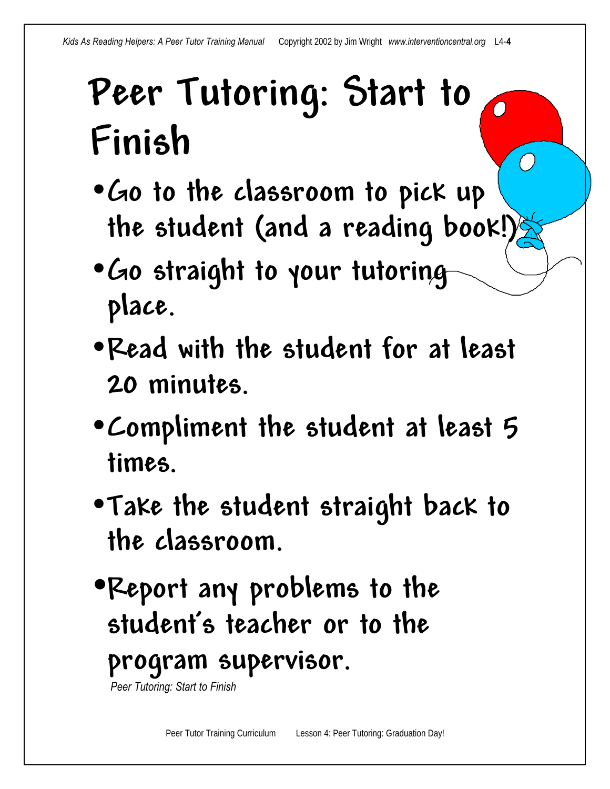# **Peer Tutoring: Start to Finish**

- •**Go to the classroom to pick up the student (and a reading book!)**
- •**Go straight to your tutoring place.**
- •**Read with the student for at least 20 minutes.**
- •**Compliment the student at least 5 times.**
- •**Take the student straight back to the classroom.**
- •**Report any problems to the student's teacher or to the program supervisor.**

 *Peer Tutoring: Start to Finish*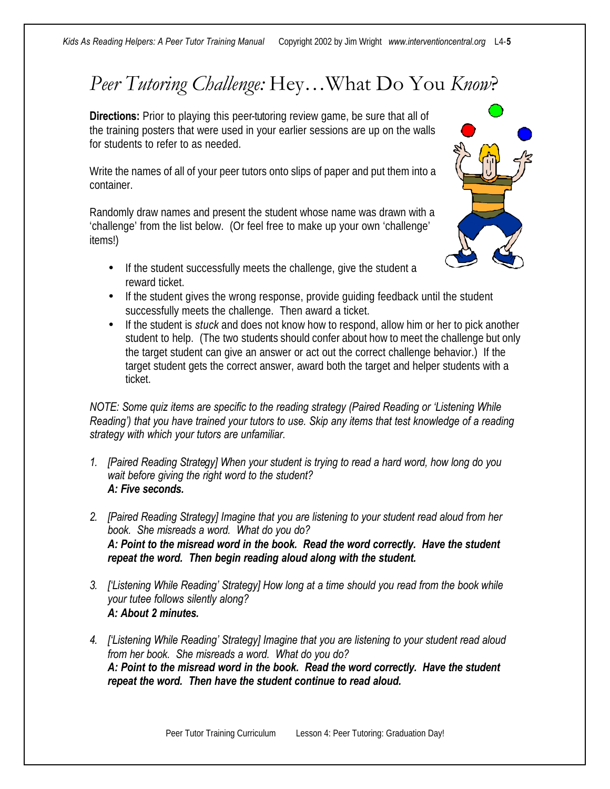## *Peer Tutoring Challenge:* Hey…What Do You *Know*?

**Directions:** Prior to playing this peer-tutoring review game, be sure that all of the training posters that were used in your earlier sessions are up on the walls for students to refer to as needed.

Write the names of all of your peer tutors onto slips of paper and put them into a container.

Randomly draw names and present the student whose name was drawn with a 'challenge' from the list below. (Or feel free to make up your own 'challenge' items!)

- If the student successfully meets the challenge, give the student a reward ticket.
- If the student gives the wrong response, provide guiding feedback until the student successfully meets the challenge. Then award a ticket.
- If the student is *stuck* and does not know how to respond, allow him or her to pick another student to help. (The two students should confer about how to meet the challenge but only the target student can give an answer or act out the correct challenge behavior.) If the target student gets the correct answer, award both the target and helper students with a ticket.

*NOTE: Some quiz items are specific to the reading strategy (Paired Reading or 'Listening While Reading') that you have trained your tutors to use. Skip any items that test knowledge of a reading strategy with which your tutors are unfamiliar.*

- *1. [Paired Reading Strategy] When your student is trying to read a hard word, how long do you wait before giving the right word to the student? A: Five seconds.*
- *2. [Paired Reading Strategy] Imagine that you are listening to your student read aloud from her book. She misreads a word. What do you do? A: Point to the misread word in the book. Read the word correctly. Have the student repeat the word. Then begin reading aloud along with the student.*
- *3. ['Listening While Reading' Strategy] How long at a time should you read from the book while your tutee follows silently along? A: About 2 minutes.*
- *4. ['Listening While Reading' Strategy] Imagine that you are listening to your student read aloud from her book. She misreads a word. What do you do? A: Point to the misread word in the book. Read the word correctly. Have the student repeat the word. Then have the student continue to read aloud.*

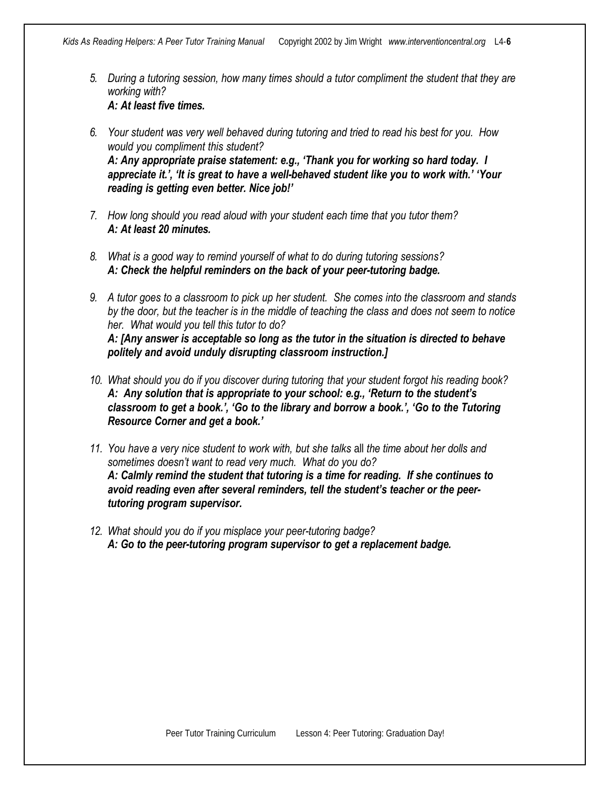- *5. During a tutoring session, how many times should a tutor compliment the student that they are working with? A: At least five times.*
- *6. Your student was very well behaved during tutoring and tried to read his best for you. How would you compliment this student? A: Any appropriate praise statement: e.g., 'Thank you for working so hard today. I appreciate it.', 'It is great to have a well-behaved student like you to work with.' 'Your reading is getting even better. Nice job!'*
- *7. How long should you read aloud with your student each time that you tutor them? A: At least 20 minutes.*
- *8. What is a good way to remind yourself of what to do during tutoring sessions? A: Check the helpful reminders on the back of your peer-tutoring badge.*
- *9. A tutor goes to a classroom to pick up her student. She comes into the classroom and stands by the door, but the teacher is in the middle of teaching the class and does not seem to notice her. What would you tell this tutor to do? A: [Any answer is acceptable so long as the tutor in the situation is directed to behave politely and avoid unduly disrupting classroom instruction.]*
- *10. What should you do if you discover during tutoring that your student forgot his reading book? A: Any solution that is appropriate to your school: e.g., 'Return to the student's classroom to get a book.', 'Go to the library and borrow a book.', 'Go to the Tutoring Resource Corner and get a book.'*
- *11. You have a very nice student to work with, but she talks* all *the time about her dolls and sometimes doesn't want to read very much. What do you do? A: Calmly remind the student that tutoring is a time for reading. If she continues to avoid reading even after several reminders, tell the student's teacher or the peertutoring program supervisor.*
- *12. What should you do if you misplace your peer-tutoring badge? A: Go to the peer-tutoring program supervisor to get a replacement badge.*